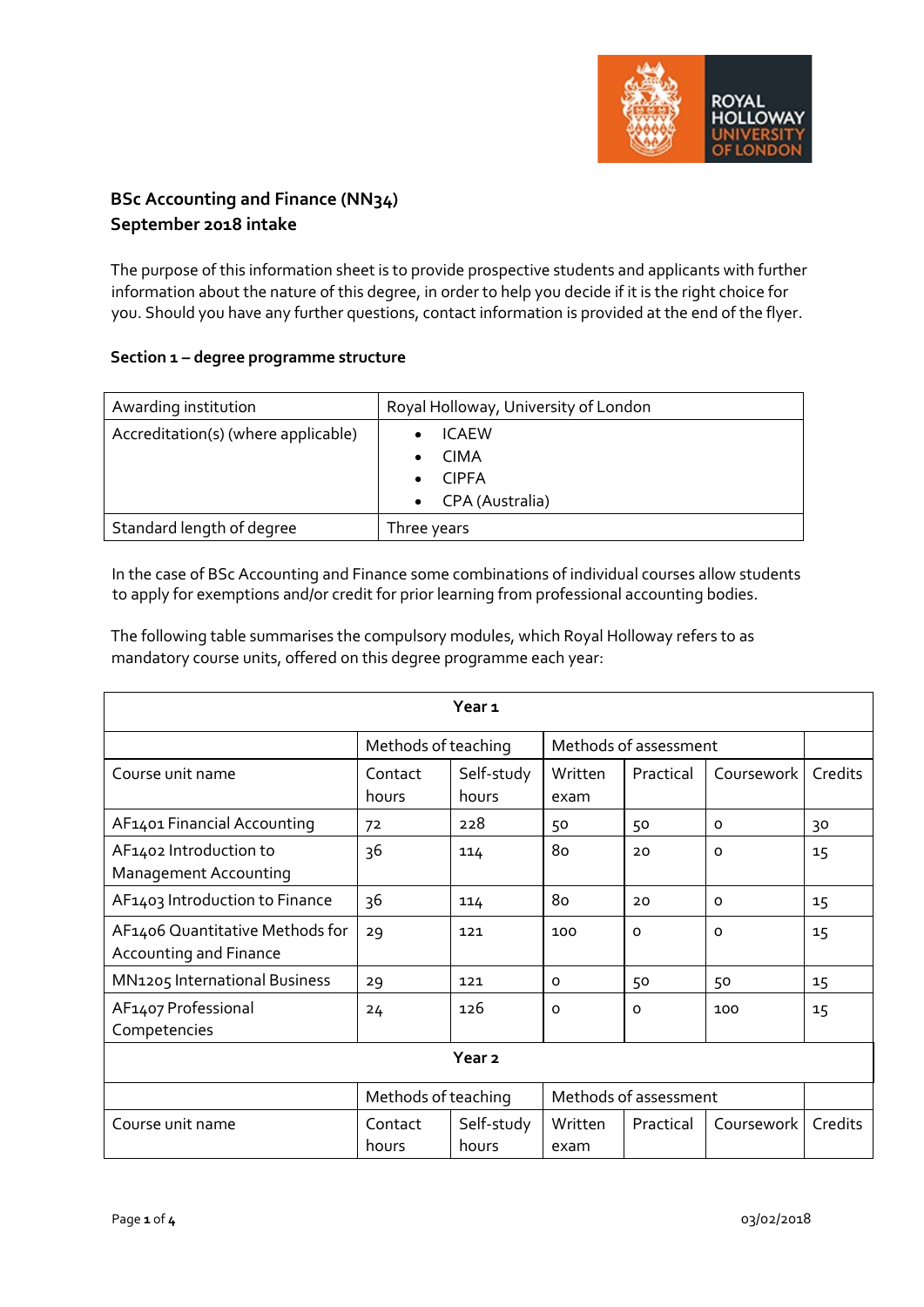

# **BSc Accounting and Finance (NN34) September 2018 intake**

The purpose of this information sheet is to provide prospective students and applicants with further information about the nature of this degree, in order to help you decide if it is the right choice for you. Should you have any further questions, contact information is provided at the end of the flyer.

## **Section 1 – degree programme structure**

| Awarding institution                | Royal Holloway, University of London |
|-------------------------------------|--------------------------------------|
| Accreditation(s) (where applicable) | <b>ICAEW</b>                         |
|                                     | <b>CIMA</b>                          |
|                                     | <b>CIPFA</b>                         |
|                                     | • CPA (Australia)                    |
| Standard length of degree           | Three years                          |

In the case of BSc Accounting and Finance some combinations of individual courses allow students to apply for exemptions and/or credit for prior learning from professional accounting bodies.

The following table summarises the compulsory modules, which Royal Holloway refers to as mandatory course units, offered on this degree programme each year:

| Year <sub>1</sub>                                         |                                              |                     |                       |           |            |         |
|-----------------------------------------------------------|----------------------------------------------|---------------------|-----------------------|-----------|------------|---------|
|                                                           | Methods of teaching                          |                     | Methods of assessment |           |            |         |
| Course unit name                                          | Contact<br>hours                             | Self-study<br>hours | Written<br>exam       | Practical | Coursework | Credits |
| AF1401 Financial Accounting                               | 72                                           | 228                 | 50                    | 50        | 0          | 30      |
| AF1402 Introduction to<br>Management Accounting           | 36                                           | 114                 | 80                    | 20        | O          | 15      |
| AF1403 Introduction to Finance                            | 36                                           | 114                 | 80                    | 20        | 0          | 15      |
| AF1406 Quantitative Methods for<br>Accounting and Finance | 29                                           | 121                 | 100                   | $\Omega$  | O          | 15      |
| MN1205 International Business                             | 29                                           | 121                 | $\Omega$              | 50        | 50         | 15      |
| AF1407 Professional<br>Competencies                       | 24                                           | 126                 | $\Omega$              | O         | 100        | 15      |
| Year <sub>2</sub>                                         |                                              |                     |                       |           |            |         |
|                                                           | Methods of assessment<br>Methods of teaching |                     |                       |           |            |         |
| Course unit name                                          | Contact<br>hours                             | Self-study<br>hours | Written<br>exam       | Practical | Coursework | Credits |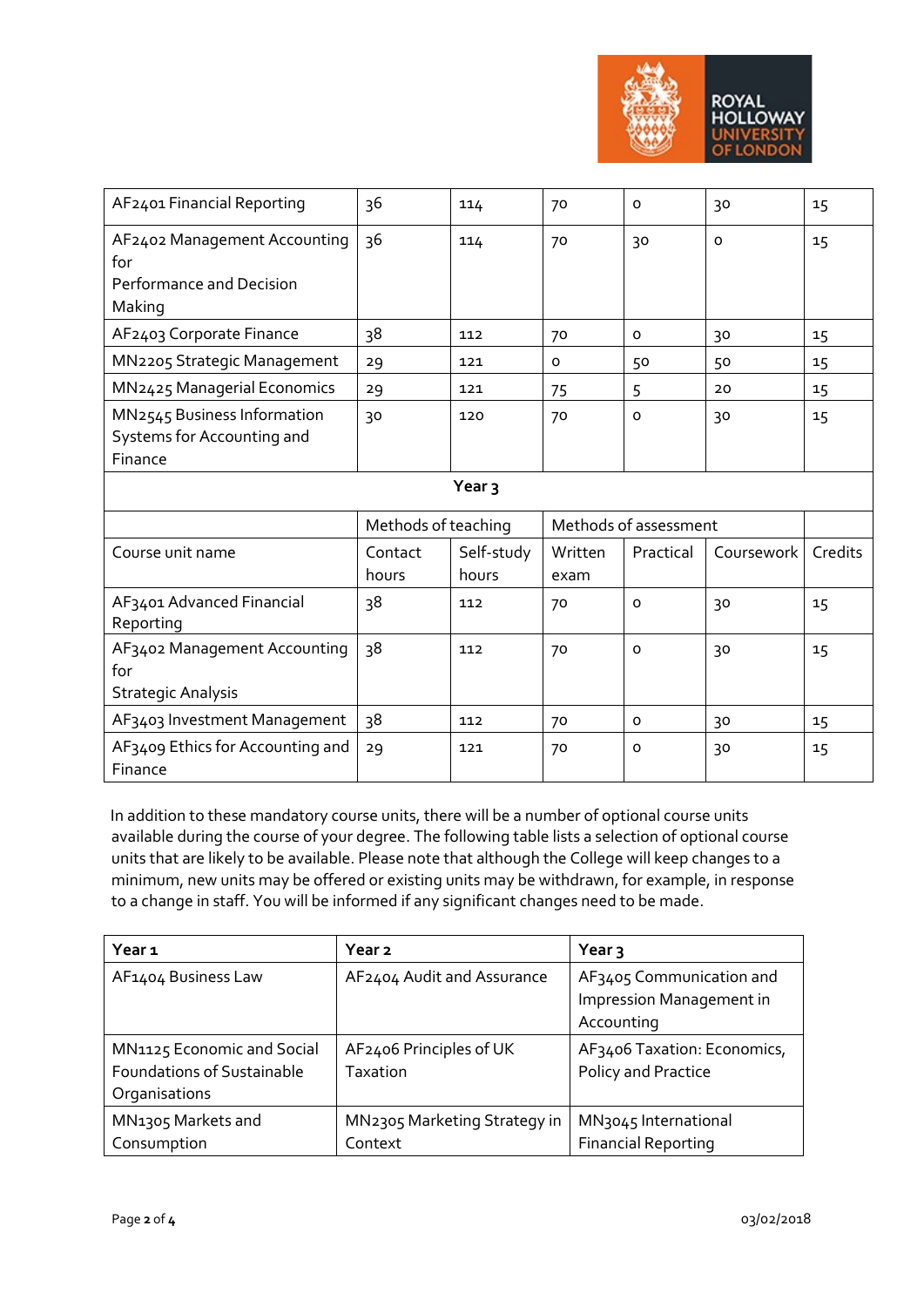

| AF2401 Financial Reporting                                                | 36                  | 114                 | 70                    | $\mathsf{o}$ | 30         | 15      |
|---------------------------------------------------------------------------|---------------------|---------------------|-----------------------|--------------|------------|---------|
| AF2402 Management Accounting<br>for<br>Performance and Decision<br>Making | 36                  | 114                 | 70                    | 30           | $\Omega$   | 15      |
| AF2403 Corporate Finance                                                  | 38                  | 112                 | 70                    | $\mathsf{o}$ | 30         | 15      |
| MN2205 Strategic Management                                               | 29                  | 121                 | 0                     | 50           | 50         | 15      |
| MN2425 Managerial Economics                                               | 29                  | 121                 | 75                    | 5            | 20         | 15      |
| MN2545 Business Information<br>Systems for Accounting and<br>Finance      | 30                  | 120                 | 70                    | $\circ$      | 30         | 15      |
| Year <sub>3</sub>                                                         |                     |                     |                       |              |            |         |
|                                                                           | Methods of teaching |                     | Methods of assessment |              |            |         |
| Course unit name                                                          | Contact<br>hours    | Self-study<br>hours | Written<br>exam       | Practical    | Coursework | Credits |
| AF3401 Advanced Financial<br>Reporting                                    | 38                  | 112                 | 70                    | $\circ$      | 30         | 15      |
|                                                                           |                     |                     |                       |              |            |         |
| AF3402 Management Accounting<br>for<br><b>Strategic Analysis</b>          | 38                  | 112                 | 70                    | $\mathsf{o}$ | 30         | 15      |
| AF3403 Investment Management                                              | 38                  | 112                 | 70                    | $\mathsf{o}$ | 30         | 15      |

In addition to these mandatory course units, there will be a number of optional course units available during the course of your degree. The following table lists a selection of optional course units that are likely to be available. Please note that although the College will keep changes to a minimum, new units may be offered or existing units may be withdrawn, for example, in response to a change in staff. You will be informed if any significant changes need to be made.

| Year 1                            | Year 2                       | Year $\overline{3}$              |
|-----------------------------------|------------------------------|----------------------------------|
| AF1404 Business Law               | AF2404 Audit and Assurance   | AF3405 Communication and         |
|                                   |                              | Impression Management in         |
|                                   |                              | Accounting                       |
| MN1125 Economic and Social        | AF2406 Principles of UK      | AF3406 Taxation: Economics,      |
| <b>Foundations of Sustainable</b> | Taxation                     | Policy and Practice              |
| Organisations                     |                              |                                  |
| MN <sub>1305</sub> Markets and    | MN2305 Marketing Strategy in | MN <sub>3045</sub> International |
| Consumption                       | Context                      | <b>Financial Reporting</b>       |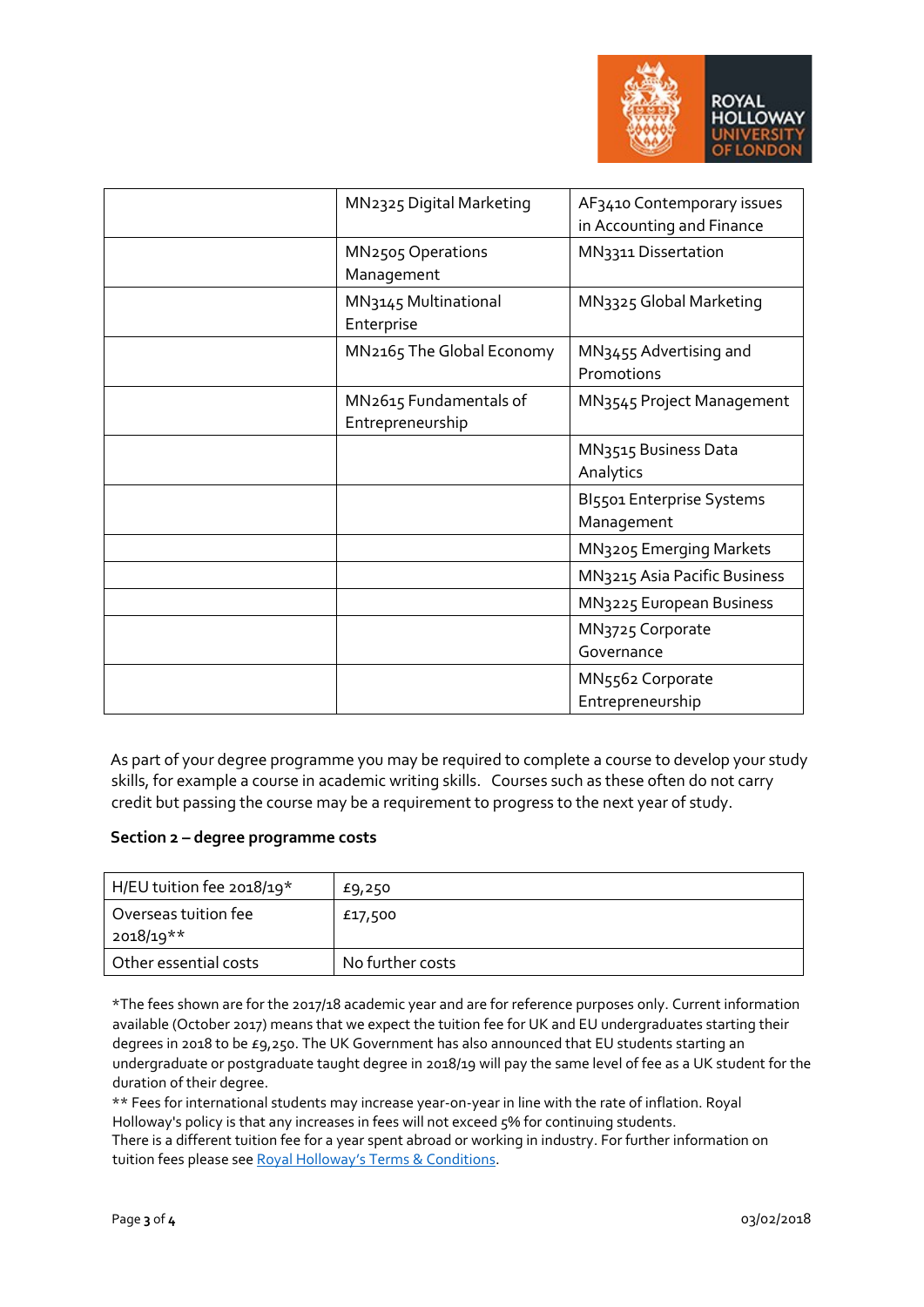

| MN2325 Digital Marketing                   | AF3410 Contemporary issues<br>in Accounting and Finance |
|--------------------------------------------|---------------------------------------------------------|
| MN2505 Operations<br>Management            | MN3311 Dissertation                                     |
| MN3145 Multinational<br>Enterprise         | MN3325 Global Marketing                                 |
| MN2165 The Global Economy                  | MN3455 Advertising and<br>Promotions                    |
| MN2615 Fundamentals of<br>Entrepreneurship | MN3545 Project Management                               |
|                                            | MN3515 Business Data<br>Analytics                       |
|                                            | BI5501 Enterprise Systems<br>Management                 |
|                                            | MN3205 Emerging Markets                                 |
|                                            | MN3215 Asia Pacific Business                            |
|                                            | MN3225 European Business                                |
|                                            | MN3725 Corporate<br>Governance                          |
|                                            | MN5562 Corporate<br>Entrepreneurship                    |

As part of your degree programme you may be required to complete a course to develop your study skills, for example a course in academic writing skills. Courses such as these often do not carry credit but passing the course may be a requirement to progress to the next year of study.

#### **Section 2 – degree programme costs**

| H/EU tuition fee 2018/19*         | £9,250           |
|-----------------------------------|------------------|
| Overseas tuition fee<br>2018/19** | £17,500          |
| Other essential costs             | No further costs |

\*The fees shown are for the 2017/18 academic year and are for reference purposes only. Current information available (October 2017) means that we expect the tuition fee for UK and EU undergraduates starting their degrees in 2018 to be £9,250. The UK Government has also announced that EU students starting an undergraduate or postgraduate taught degree in 2018/19 will pay the same level of fee as a UK student for the duration of their degree.

\*\* Fees for international students may increase year-on-year in line with the rate of inflation. Royal Holloway's policy is that any increases in fees will not exceed 5% for continuing students. There is a different tuition fee for a year spent abroad or working in industry. For further information on tuition fees please se[e Royal Holloway's Terms & Conditions.](https://www.royalholloway.ac.uk/studyhere/undergraduate/applying/admissionspolicy.aspx)